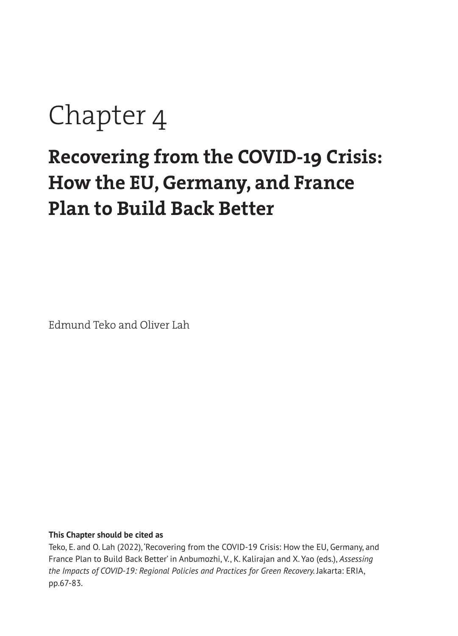# Chapter 4

# **Recovering from the COVID-19 Crisis: How the EU, Germany, and France Plan to Build Back Better**

Edmund Teko and Oliver Lah

#### **This Chapter should be cited as**

Teko, E. and O. Lah (2022), 'Recovering from the COVID-19 Crisis: How the EU, Germany, and France Plan to Build Back Better' in Anbumozhi, V., K. Kalirajan and X. Yao (eds.), *Assessing*  the Impacts of COVID-19: Regional Policies and Practices for Green Recovery. Jakarta: ERIA, pp.67-83.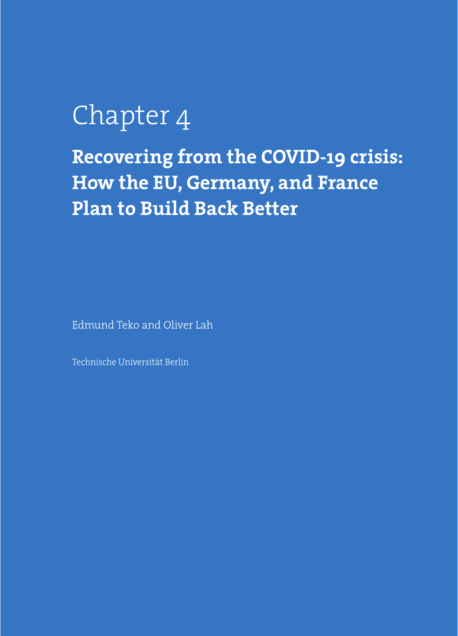# Chapter 4

**Recovering from the COVID-19 crisis: How the EU, Germany, and France Plan to Build Back Better** 

Edmund Teko and Oliver Lah

Technische Universität Berlin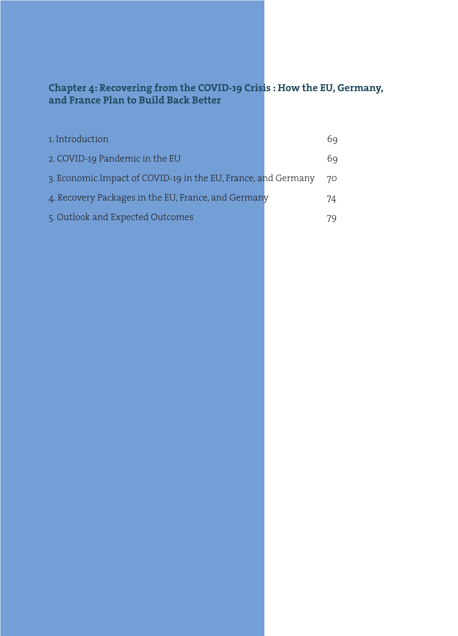## **Chapter 4: Recovering from the COVID-19 Crisis : How the EU, Germany, and France Plan to Build Back Better**

| 1. Introduction                                               | 69 |
|---------------------------------------------------------------|----|
| 2. COVID-19 Pandemic in the EU                                | 69 |
| 3. Economic Impact of COVID-19 in the EU, France, and Germany | 70 |
| 4. Recovery Packages in the EU, France, and Germany           | 74 |
| 5. Outlook and Expected Outcomes                              | 79 |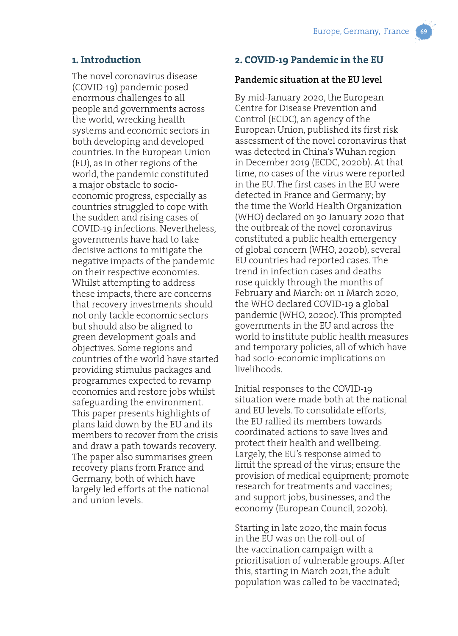### **1. Introduction**

The novel coronavirus disease (COVID-19) pandemic posed enormous challenges to all people and governments across the world, wrecking health systems and economic sectors in both developing and developed countries. In the European Union (EU), as in other regions of the world, the pandemic constituted a major obstacle to socioeconomic progress, especially as countries struggled to cope with the sudden and rising cases of COVID-19 infections. Nevertheless, governments have had to take decisive actions to mitigate the negative impacts of the pandemic on their respective economies. Whilst attempting to address these impacts, there are concerns that recovery investments should not only tackle economic sectors but should also be aligned to green development goals and objectives. Some regions and countries of the world have started providing stimulus packages and programmes expected to revamp economies and restore jobs whilst safeguarding the environment. This paper presents highlights of plans laid down by the EU and its members to recover from the crisis and draw a path towards recovery. The paper also summarises green recovery plans from France and Germany, both of which have largely led efforts at the national and union levels.

# **2. COVID-19 Pandemic in the EU**

#### **Pandemic situation at the EU level**

By mid-January 2020, the European Centre for Disease Prevention and Control (ECDC), an agency of the European Union, published its first risk assessment of the novel coronavirus that was detected in China's Wuhan region in December 2019 (ECDC, 2020b). At that time, no cases of the virus were reported in the EU. The first cases in the EU were detected in France and Germany; by the time the World Health Organization (WHO) declared on 30 January 2020 that the outbreak of the novel coronavirus constituted a public health emergency of global concern (WHO, 2020b), several EU countries had reported cases. The trend in infection cases and deaths rose quickly through the months of February and March: on 11 March 2020, the WHO declared COVID-19 a global pandemic (WHO, 2020c). This prompted governments in the EU and across the world to institute public health measures and temporary policies, all of which have had socio-economic implications on livelihoods.

Initial responses to the COVID-19 situation were made both at the national and EU levels. To consolidate efforts, the EU rallied its members towards coordinated actions to save lives and protect their health and wellbeing. Largely, the EU's response aimed to limit the spread of the virus; ensure the provision of medical equipment; promote research for treatments and vaccines; and support jobs, businesses, and the economy (European Council, 2020b).

Starting in late 2020, the main focus in the EU was on the roll-out of the vaccination campaign with a prioritisation of vulnerable groups. After this, starting in March 2021, the adult population was called to be vaccinated;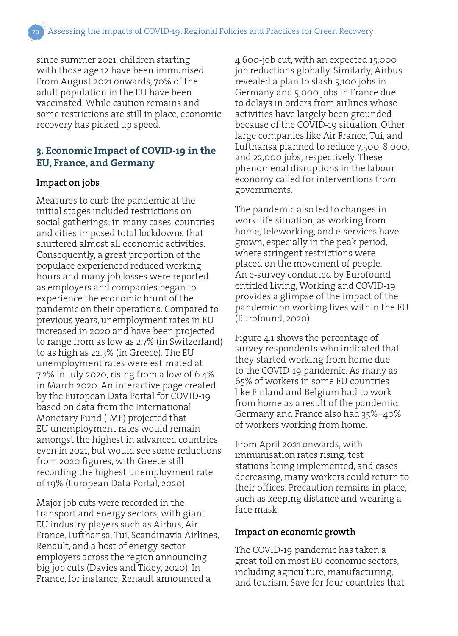since summer 2021, children starting with those age 12 have been immunised. From August 2021 onwards, 70% of the adult population in the EU have been vaccinated. While caution remains and some restrictions are still in place, economic recovery has picked up speed.

# **3. Economic Impact of COVID-19 in the EU, France, and Germany**

#### **Impact on jobs**

Measures to curb the pandemic at the initial stages included restrictions on social gatherings; in many cases, countries and cities imposed total lockdowns that shuttered almost all economic activities. Consequently, a great proportion of the populace experienced reduced working hours and many job losses were reported as employers and companies began to experience the economic brunt of the pandemic on their operations. Compared to previous years, unemployment rates in EU increased in 2020 and have been projected to range from as low as 2.7% (in Switzerland) to as high as 22.3% (in Greece). The EU unemployment rates were estimated at 7.2% in July 2020, rising from a low of 6.4% in March 2020. An interactive page created by the European Data Portal for COVID-19 based on data from the International Monetary Fund (IMF) projected that EU unemployment rates would remain amongst the highest in advanced countries even in 2021, but would see some reductions from 2020 figures, with Greece still recording the highest unemployment rate of 19% (European Data Portal, 2020).

Major job cuts were recorded in the transport and energy sectors, with giant EU industry players such as Airbus, Air France, Lufthansa, Tui, Scandinavia Airlines, Renault, and a host of energy sector employers across the region announcing big job cuts (Davies and Tidey, 2020). In France, for instance, Renault announced a

4,600-job cut, with an expected 15,000 job reductions globally. Similarly, Airbus revealed a plan to slash 5,100 jobs in Germany and 5,000 jobs in France due to delays in orders from airlines whose activities have largely been grounded because of the COVID-19 situation. Other large companies like Air France, Tui, and Lufthansa planned to reduce 7,500, 8,000, and 22,000 jobs, respectively. These phenomenal disruptions in the labour economy called for interventions from governments.

The pandemic also led to changes in work-life situation, as working from home, teleworking, and e-services have grown, especially in the peak period, where stringent restrictions were placed on the movement of people. An e-survey conducted by Eurofound entitled Living, Working and COVID-19 provides a glimpse of the impact of the pandemic on working lives within the EU (Eurofound, 2020).

Figure 4.1 shows the percentage of survey respondents who indicated that they started working from home due to the COVID-19 pandemic. As many as 65% of workers in some EU countries like Finland and Belgium had to work from home as a result of the pandemic. Germany and France also had 35%–40% of workers working from home.

From April 2021 onwards, with immunisation rates rising, test stations being implemented, and cases decreasing, many workers could return to their offices. Precaution remains in place, such as keeping distance and wearing a face mask.

#### **Impact on economic growth**

The COVID-19 pandemic has taken a great toll on most EU economic sectors, including agriculture, manufacturing, and tourism. Save for four countries that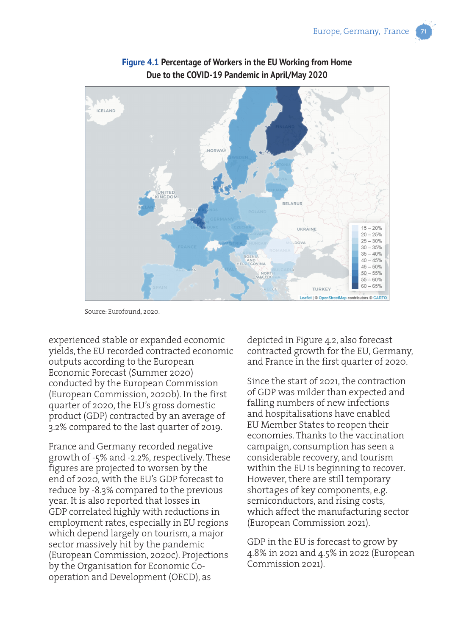

## **Figure 4.1 Percentage of Workers in the EU Working from Home Due to the COVID-19 Pandemic in April/May 2020**

Source: Eurofound, 2020.

experienced stable or expanded economic yields, the EU recorded contracted economic outputs according to the European Economic Forecast (Summer 2020) conducted by the European Commission (European Commission, 2020b). In the first quarter of 2020, the EU's gross domestic product (GDP) contracted by an average of 3.2% compared to the last quarter of 2019.

France and Germany recorded negative growth of -5% and -2.2%, respectively. These figures are projected to worsen by the end of 2020, with the EU's GDP forecast to reduce by -8.3% compared to the previous year. It is also reported that losses in GDP correlated highly with reductions in employment rates, especially in EU regions which depend largely on tourism, a major sector massively hit by the pandemic (European Commission, 2020c). Projections by the Organisation for Economic Cooperation and Development (OECD), as

depicted in Figure 4.2, also forecast contracted growth for the EU, Germany, and France in the first quarter of 2020.

Since the start of 2021, the contraction of GDP was milder than expected and falling numbers of new infections and hospitalisations have enabled EU Member States to reopen their economies. Thanks to the vaccination campaign, consumption has seen a considerable recovery, and tourism within the EU is beginning to recover. However, there are still temporary shortages of key components, e.g. semiconductors, and rising costs, which affect the manufacturing sector (European Commission 2021).

GDP in the EU is forecast to grow by 4.8% in 2021 and 4.5% in 2022 (European Commission 2021).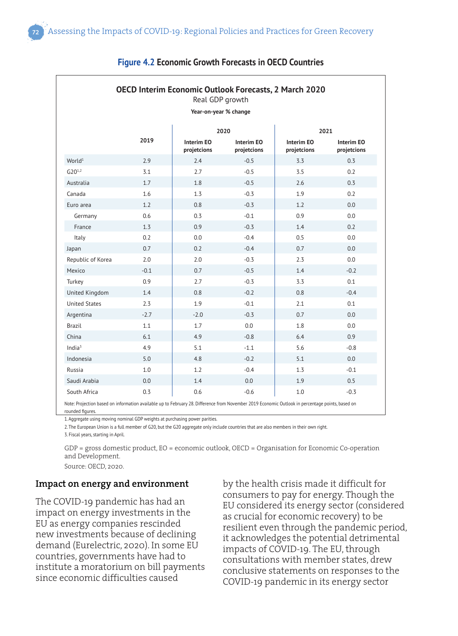| <b>OECD Interim Economic Outlook Forecasts, 2 March 2020</b><br>Real GDP growth<br>Year-on-year % change                                                                                                                                          |        |                                  |                                  |                                  |                           |  |
|---------------------------------------------------------------------------------------------------------------------------------------------------------------------------------------------------------------------------------------------------|--------|----------------------------------|----------------------------------|----------------------------------|---------------------------|--|
|                                                                                                                                                                                                                                                   |        |                                  |                                  |                                  |                           |  |
|                                                                                                                                                                                                                                                   | 2019   | <b>Interim EO</b><br>projetcions | <b>Interim EO</b><br>projetcions | <b>Interim EO</b><br>projetcions | Interim EO<br>projetcions |  |
| World <sup>1</sup>                                                                                                                                                                                                                                | 2.9    | 2.4                              | $-0.5$                           | 3.3                              | 0.3                       |  |
| $G20^{1,2}$                                                                                                                                                                                                                                       | 3.1    | 2.7                              | $-0.5$                           | 3.5                              | 0.2                       |  |
| Australia                                                                                                                                                                                                                                         | 1.7    | 1.8                              | $-0.5$                           | 2.6                              | 0.3                       |  |
| Canada                                                                                                                                                                                                                                            | 1.6    | 1.3                              | $-0.3$                           | 1.9                              | 0.2                       |  |
| Euro area                                                                                                                                                                                                                                         | 1.2    | 0.8                              | $-0.3$                           | 1.2                              | 0.0                       |  |
| Germany                                                                                                                                                                                                                                           | 0.6    | 0.3                              | $-0.1$                           | 0.9                              | 0.0                       |  |
| France                                                                                                                                                                                                                                            | 1.3    | 0.9                              | $-0.3$                           | 1.4                              | 0.2                       |  |
| Italy                                                                                                                                                                                                                                             | 0.2    | 0.0                              | $-0.4$                           | 0.5                              | 0.0                       |  |
| Japan                                                                                                                                                                                                                                             | 0.7    | 0.2                              | $-0.4$                           | 0.7                              | 0.0                       |  |
| Republic of Korea                                                                                                                                                                                                                                 | 2.0    | 2.0                              | $-0.3$                           | 2.3                              | 0.0                       |  |
| Mexico                                                                                                                                                                                                                                            | $-0.1$ | 0.7                              | $-0.5$                           | 1.4                              | $-0.2$                    |  |
| Turkey                                                                                                                                                                                                                                            | 0.9    | 2.7                              | $-0.3$                           | 3.3                              | 0.1                       |  |
| United Kingdom                                                                                                                                                                                                                                    | 1.4    | 0.8                              | $-0.2$                           | 0.8                              | $-0.4$                    |  |
| <b>United States</b>                                                                                                                                                                                                                              | 2.3    | 1.9                              | $-0.1$                           | 2.1                              | 0.1                       |  |
| Argentina                                                                                                                                                                                                                                         | $-2.7$ | $-2.0$                           | $-0.3$                           | 0.7                              | 0.0                       |  |
| Brazil                                                                                                                                                                                                                                            | 1.1    | 1.7                              | 0.0                              | 1.8                              | 0.0                       |  |
| China                                                                                                                                                                                                                                             | 6.1    | 4.9                              | $-0.8$                           | 6.4                              | 0.9                       |  |
| India $3$                                                                                                                                                                                                                                         | 4.9    | 5.1                              | $-1.1$                           | 5.6                              | $-0.8$                    |  |
| Indonesia                                                                                                                                                                                                                                         | 5.0    | 4.8                              | $-0.2$                           | 5.1                              | 0.0                       |  |
| Russia                                                                                                                                                                                                                                            | 1.0    | 1.2                              | $-0.4$                           | 1.3                              | $-0.1$                    |  |
| Saudi Arabia                                                                                                                                                                                                                                      | 0.0    | 1.4                              | 0.0                              | 1.9                              | 0.5                       |  |
| South Africa                                                                                                                                                                                                                                      | 0.3    | 0.6                              | $-0.6$                           | 1.0                              | $-0.3$                    |  |
| Note: Projection based on information available up to February 28. Difference from November 2019 Economic Outlook in percentage points, based on<br>rounded figures.<br>1 Angrenate using moving nominal GDP weights at purchasing nower parities |        |                                  |                                  |                                  |                           |  |

#### **Figure 4.2 Economic Growth Forecasts in OECD Countries**

1. Aggregate using moving nominal GDP weights at purchasing power parities.

2. The European Union is a full member of G20, but the G20 aggregate only include countries that are also members in their own right.

3. Fiscal years, starting in April.

GDP = gross domestic product, EO = economic outlook, OECD = Organisation for Economic Co-operation and Development. Source: OECD, 2020.

**Impact on energy and environment**

The COVID-19 pandemic has had an impact on energy investments in the EU as energy companies rescinded new investments because of declining demand (Eurelectric, 2020). In some EU countries, governments have had to institute a moratorium on bill payments since economic difficulties caused

by the health crisis made it difficult for consumers to pay for energy. Though the EU considered its energy sector (considered as crucial for economic recovery) to be resilient even through the pandemic period, it acknowledges the potential detrimental impacts of COVID-19. The EU, through consultations with member states, drew conclusive statements on responses to the COVID-19 pandemic in its energy sector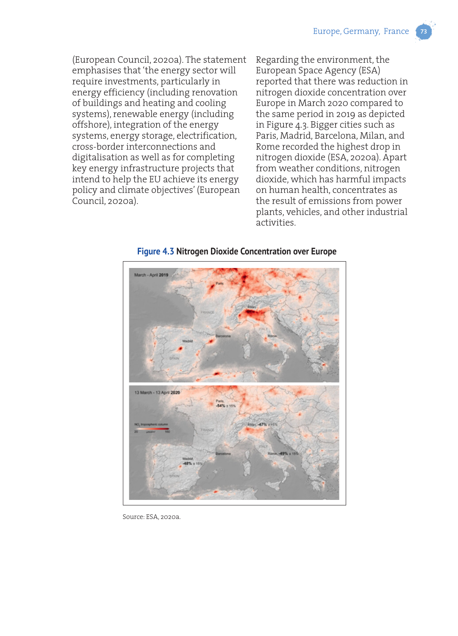(European Council, 2020a). The statement emphasises that 'the energy sector will require investments, particularly in energy efficiency (including renovation of buildings and heating and cooling systems), renewable energy (including offshore), integration of the energy systems, energy storage, electrification, cross-border interconnections and digitalisation as well as for completing key energy infrastructure projects that intend to help the EU achieve its energy policy and climate objectives' (European Council, 2020a).

Regarding the environment, the European Space Agency (ESA) reported that there was reduction in nitrogen dioxide concentration over Europe in March 2020 compared to the same period in 2019 as depicted in Figure 4.3. Bigger cities such as Paris, Madrid, Barcelona, Milan, and Rome recorded the highest drop in nitrogen dioxide (ESA, 2020a). Apart from weather conditions, nitrogen dioxide, which has harmful impacts on human health, concentrates as the result of emissions from power plants, vehicles, and other industrial activities.



**Figure 4.3 Nitrogen Dioxide Concentration over Europe**

Source: ESA, 2020a.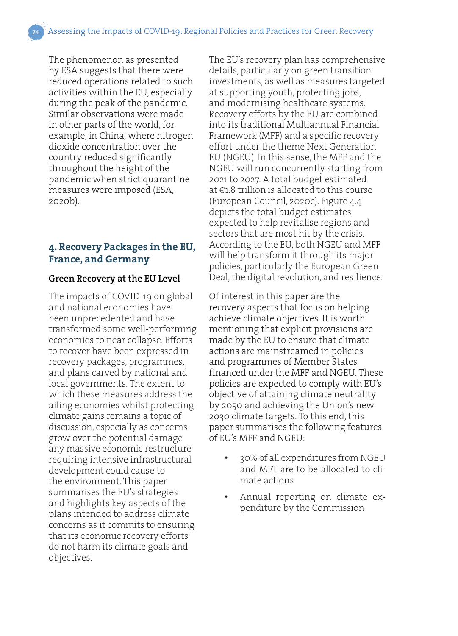The phenomenon as presented by ESA suggests that there were reduced operations related to such activities within the EU, especially during the peak of the pandemic. Similar observations were made in other parts of the world, for example, in China, where nitrogen dioxide concentration over the country reduced significantly throughout the height of the pandemic when strict quarantine measures were imposed (ESA, 2020b).

# **4. Recovery Packages in the EU, France, and Germany**

#### **Green Recovery at the EU Level**

The impacts of COVID-19 on global and national economies have been unprecedented and have transformed some well-performing economies to near collapse. Efforts to recover have been expressed in recovery packages, programmes, and plans carved by national and local governments. The extent to which these measures address the ailing economies whilst protecting climate gains remains a topic of discussion, especially as concerns grow over the potential damage any massive economic restructure requiring intensive infrastructural development could cause to the environment. This paper summarises the EU's strategies and highlights key aspects of the plans intended to address climate concerns as it commits to ensuring that its economic recovery efforts do not harm its climate goals and objectives.

The EU's recovery plan has comprehensive details, particularly on green transition investments, as well as measures targeted at supporting youth, protecting jobs, and modernising healthcare systems. Recovery efforts by the EU are combined into its traditional Multiannual Financial Framework (MFF) and a specific recovery effort under the theme Next Generation EU (NGEU). In this sense, the MFF and the NGEU will run concurrently starting from 2021 to 2027. A total budget estimated at €1.8 trillion is allocated to this course (European Council, 2020c). Figure 4.4 depicts the total budget estimates expected to help revitalise regions and sectors that are most hit by the crisis. According to the EU, both NGEU and MFF will help transform it through its major policies, particularly the European Green Deal, the digital revolution, and resilience.

Of interest in this paper are the recovery aspects that focus on helping achieve climate objectives. It is worth mentioning that explicit provisions are made by the EU to ensure that climate actions are mainstreamed in policies and programmes of Member States financed under the MFF and NGEU. These policies are expected to comply with EU's objective of attaining climate neutrality by 2050 and achieving the Union's new 2030 climate targets. To this end, this paper summarises the following features of EU's MFF and NGEU:

- 30% of all expenditures from NGEU and MFT are to be allocated to climate actions
- Annual reporting on climate expenditure by the Commission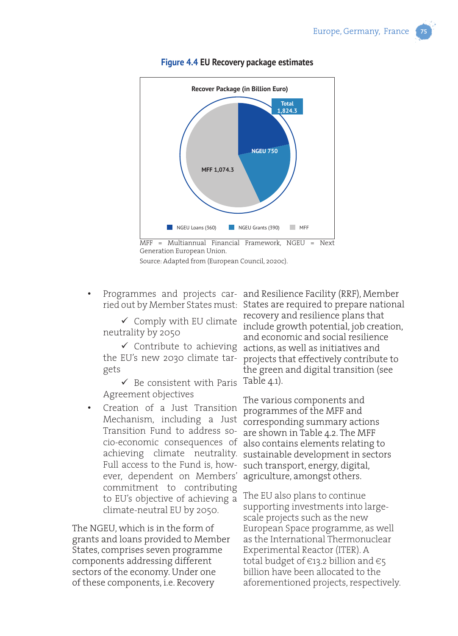

#### **Figure 4.4 EU Recovery package estimates**



 $\checkmark$  Comply with EU climate neutrality by 2050

gets

 $\checkmark$  Be consistent with Paris Table 4.1). Agreement objectives

• Creation of a Just Transition Mechanism, including a Just Transition Fund to address socio-economic consequences of Full access to the Fund is, however, dependent on Members' commitment to contributing to EU's objective of achieving a climate-neutral EU by 2050.

The NGEU, which is in the form of grants and loans provided to Member States, comprises seven programme components addressing different sectors of the economy. Under one of these components, i.e. Recovery

• Programmes and projects car-and Resilience Facility (RRF), Member ried out by Member States must: States are required to prepare national  $\checkmark$  Contribute to achieving actions, as well as initiatives and the EU's new 2030 climate tar-projects that effectively contribute to recovery and resilience plans that include growth potential, job creation, and economic and social resilience the green and digital transition (see

achieving climate neutrality. sustainable development in sectors The various components and programmes of the MFF and corresponding summary actions are shown in Table 4.2. The MFF also contains elements relating to such transport, energy, digital, agriculture, amongst others.

> The EU also plans to continue supporting investments into largescale projects such as the new European Space programme, as well as the International Thermonuclear Experimental Reactor (ITER). A total budget of  $\in$ 13.2 billion and  $\in$ 5 billion have been allocated to the aforementioned projects, respectively.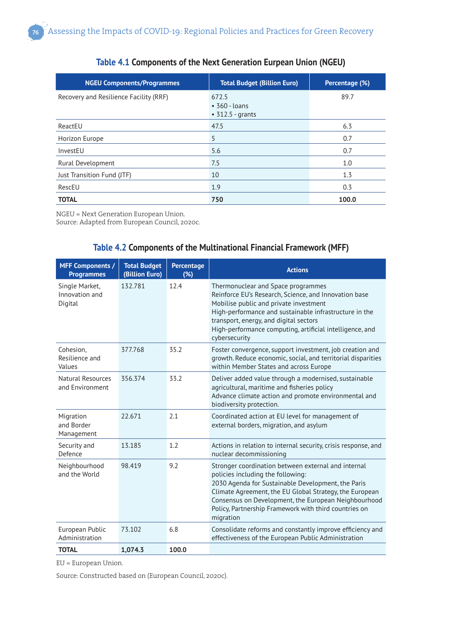| <b>NGEU Components/Programmes</b>      | <b>Total Budget (Billion Euro)</b>                     | Percentage (%) |
|----------------------------------------|--------------------------------------------------------|----------------|
| Recovery and Resilience Facility (RRF) | 672.5<br>$\cdot$ 360 - Ioans<br>$\cdot$ 312.5 - grants | 89.7           |
| ReactEU                                | 47.5                                                   | 6.3            |
| Horizon Europe                         | 5                                                      | 0.7            |
| InvestEU                               | 5.6                                                    | 0.7            |
| Rural Development                      | 7.5                                                    | 1.0            |
| Just Transition Fund (JTF)             | 10                                                     | 1.3            |
| RescEU                                 | 1.9                                                    | 0.3            |
| <b>TOTAL</b>                           | 750                                                    | 100.0          |

#### **Table 4.1 Components of the Next Generation Eurpean Union (NGEU)**

NGEU = Next Generation European Union.

Source: Adapted from European Council, 2020c.

#### **Table 4.2 Components of the Multinational Financial Framework (MFF)**

| <b>MFF Components /</b><br><b>Programmes</b> | <b>Total Budget</b><br>(Billion Euro) | Percentage<br>(%) | <b>Actions</b>                                                                                                                                                                                                                                                                                                                          |
|----------------------------------------------|---------------------------------------|-------------------|-----------------------------------------------------------------------------------------------------------------------------------------------------------------------------------------------------------------------------------------------------------------------------------------------------------------------------------------|
| Single Market,<br>Innovation and<br>Digital  | 132.781                               | 12.4              | Thermonuclear and Space programmes<br>Reinforce EU's Research, Science, and Innovation base<br>Mobilise public and private investment<br>High-performance and sustainable infrastructure in the<br>transport, energy, and digital sectors<br>High-performance computing, artificial intelligence, and<br>cybersecurity                  |
| Cohesion,<br>Resilience and<br>Values        | 377.768                               | 35.2              | Foster convergence, support investment, job creation and<br>growth. Reduce economic, social, and territorial disparities<br>within Member States and across Europe                                                                                                                                                                      |
| Natural Resources<br>and Environment         | 356.374                               | 33.2              | Deliver added value through a modernised, sustainable<br>agricultural, maritime and fisheries policy<br>Advance climate action and promote environmental and<br>biodiversity protection.                                                                                                                                                |
| Migration<br>and Border<br>Management        | 22.671                                | 2.1               | Coordinated action at EU level for management of<br>external borders, migration, and asylum                                                                                                                                                                                                                                             |
| Security and<br>Defence                      | 13.185                                | 1.2               | Actions in relation to internal security, crisis response, and<br>nuclear decommissioning                                                                                                                                                                                                                                               |
| Neighbourhood<br>and the World               | 98.419                                | 9.2               | Stronger coordination between external and internal<br>policies including the following:<br>2030 Agenda for Sustainable Development, the Paris<br>Climate Agreement, the EU Global Strategy, the European<br>Consensus on Development, the European Neighbourhood<br>Policy, Partnership Framework with third countries on<br>migration |
| European Public<br>Administration            | 73.102                                | 6.8               | Consolidate reforms and constantly improve efficiency and<br>effectiveness of the European Public Administration                                                                                                                                                                                                                        |
| <b>TOTAL</b>                                 | 1,074.3                               | 100.0             |                                                                                                                                                                                                                                                                                                                                         |

EU = European Union.

Source: Constructed based on (European Council, 2020c).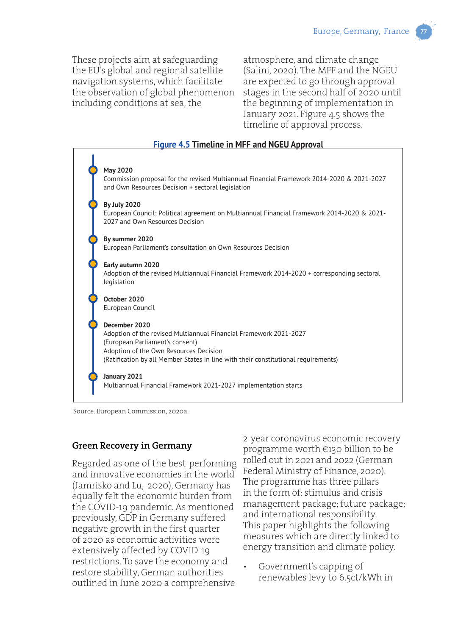These projects aim at safeguarding the EU's global and regional satellite navigation systems, which facilitate the observation of global phenomenon including conditions at sea, the

atmosphere, and climate change (Salini, 2020). The MFF and the NGEU are expected to go through approval stages in the second half of 2020 until the beginning of implementation in January 2021. Figure 4.5 shows the timeline of approval process.

#### **Figure 4.5 Timeline in MFF and NGEU Approval**



Source: European Commission, 2020a.

#### **Green Recovery in Germany**

Regarded as one of the best-performing and innovative economies in the world (Jamrisko and Lu, 2020), Germany has equally felt the economic burden from the COVID-19 pandemic. As mentioned previously, GDP in Germany suffered negative growth in the first quarter of 2020 as economic activities were extensively affected by COVID-19 restrictions. To save the economy and restore stability, German authorities outlined in June 2020 a comprehensive

2-year coronavirus economic recovery programme worth €130 billion to be rolled out in 2021 and 2022 (German Federal Ministry of Finance, 2020). The programme has three pillars in the form of: stimulus and crisis management package; future package; and international responsibility. This paper highlights the following measures which are directly linked to energy transition and climate policy.

• Government's capping of renewables levy to 6.5ct/kWh in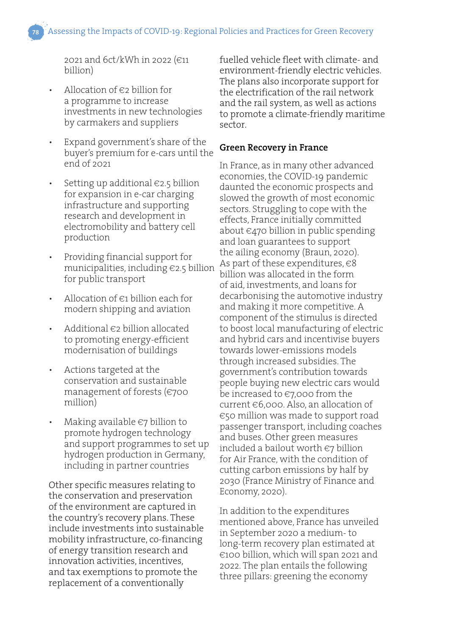2021 and 6ct/kWh in 2022 (€11 billion)

- Allocation of  $\epsilon$ 2 billion for a programme to increase investments in new technologies by carmakers and suppliers
- Expand government's share of the buyer's premium for e-cars until the end of 2021
- Setting up additional  $\epsilon$ 2.5 billion for expansion in e-car charging infrastructure and supporting research and development in electromobility and battery cell production
- Providing financial support for municipalities, including €2.5 billion for public transport
- Allocation of  $\in$ 1 billion each for modern shipping and aviation
- Additional  $\epsilon$ 2 billion allocated to promoting energy-efficient modernisation of buildings
- Actions targeted at the conservation and sustainable management of forests (€700 million)
- Making available  $\epsilon$ 7 billion to promote hydrogen technology and support programmes to set up hydrogen production in Germany, including in partner countries

Other specific measures relating to the conservation and preservation of the environment are captured in the country's recovery plans. These include investments into sustainable mobility infrastructure, co-financing of energy transition research and innovation activities, incentives, and tax exemptions to promote the replacement of a conventionally

fuelled vehicle fleet with climate- and environment-friendly electric vehicles. The plans also incorporate support for the electrification of the rail network and the rail system, as well as actions to promote a climate-friendly maritime sector.

#### **Green Recovery in France**

In France, as in many other advanced economies, the COVID-19 pandemic daunted the economic prospects and slowed the growth of most economic sectors. Struggling to cope with the effects, France initially committed about €470 billion in public spending and loan guarantees to support the ailing economy (Braun, 2020). As part of these expenditures,  $\in$ 8 billion was allocated in the form of aid, investments, and loans for decarbonising the automotive industry and making it more competitive. A component of the stimulus is directed to boost local manufacturing of electric and hybrid cars and incentivise buyers towards lower-emissions models through increased subsidies. The government's contribution towards people buying new electric cars would be increased to €7,000 from the current €6,000. Also, an allocation of €50 million was made to support road passenger transport, including coaches and buses. Other green measures included a bailout worth €7 billion for Air France, with the condition of cutting carbon emissions by half by 2030 (France Ministry of Finance and Economy, 2020).

In addition to the expenditures mentioned above, France has unveiled in September 2020 a medium- to long-term recovery plan estimated at €100 billion, which will span 2021 and 2022. The plan entails the following three pillars: greening the economy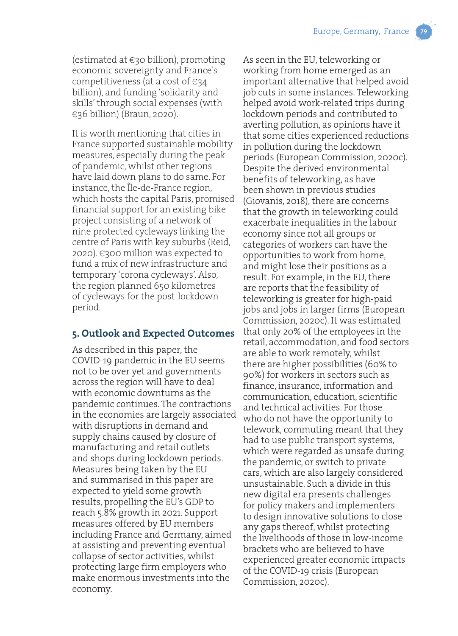(estimated at  $\epsilon$ 30 billion), promoting economic sovereignty and France's competitiveness (at a cost of  $\epsilon_{34}$ billion), and funding 'solidarity and skills' through social expenses (with €36 billion) (Braun, 2020).

It is worth mentioning that cities in France supported sustainable mobility measures, especially during the peak of pandemic, whilst other regions have laid down plans to do same. For instance, the Île-de-France region, which hosts the capital Paris, promised financial support for an existing bike project consisting of a network of nine protected cycleways linking the centre of Paris with key suburbs (Reid, 2020). €300 million was expected to fund a mix of new infrastructure and temporary 'corona cycleways'. Also, the region planned 650 kilometres of cycleways for the post-lockdown period.

### **5. Outlook and Expected Outcomes**

As described in this paper, the COVID-19 pandemic in the EU seems not to be over yet and governments across the region will have to deal with economic downturns as the pandemic continues. The contractions in the economies are largely associated with disruptions in demand and supply chains caused by closure of manufacturing and retail outlets and shops during lockdown periods. Measures being taken by the EU and summarised in this paper are expected to yield some growth results, propelling the EU's GDP to reach 5.8% growth in 2021. Support measures offered by EU members including France and Germany, aimed at assisting and preventing eventual collapse of sector activities, whilst protecting large firm employers who make enormous investments into the economy.

As seen in the EU, teleworking or working from home emerged as an important alternative that helped avoid job cuts in some instances. Teleworking helped avoid work-related trips during lockdown periods and contributed to averting pollution, as opinions have it that some cities experienced reductions in pollution during the lockdown periods (European Commission, 2020c). Despite the derived environmental benefits of teleworking, as have been shown in previous studies (Giovanis, 2018), there are concerns that the growth in teleworking could exacerbate inequalities in the labour economy since not all groups or categories of workers can have the opportunities to work from home, and might lose their positions as a result. For example, in the EU, there are reports that the feasibility of teleworking is greater for high-paid jobs and jobs in larger firms (European Commission, 2020c). It was estimated that only 20% of the employees in the retail, accommodation, and food sectors are able to work remotely, whilst there are higher possibilities (60% to 90%) for workers in sectors such as finance, insurance, information and communication, education, scientific and technical activities. For those who do not have the opportunity to telework, commuting meant that they had to use public transport systems, which were regarded as unsafe during the pandemic, or switch to private cars, which are also largely considered unsustainable. Such a divide in this new digital era presents challenges for policy makers and implementers to design innovative solutions to close any gaps thereof, whilst protecting the livelihoods of those in low-income brackets who are believed to have experienced greater economic impacts of the COVID-19 crisis (European Commission, 2020c).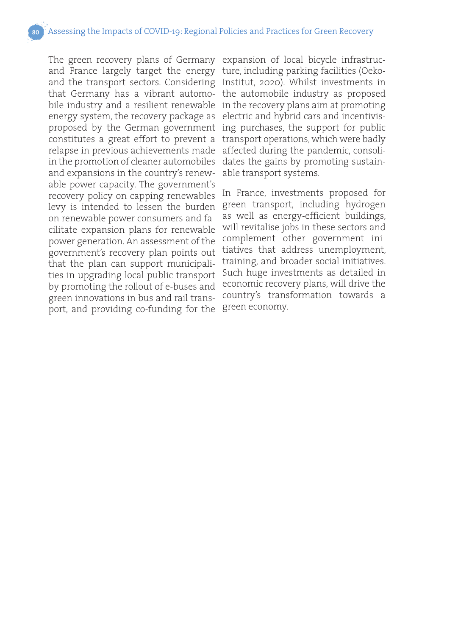The green recovery plans of Germany expansion of local bicycle infrastrucand France largely target the energy ture, including parking facilities (Oekoand the transport sectors. Considering Institut, 2020). Whilst investments in that Germany has a vibrant automo- the automobile industry as proposed bile industry and a resilient renewable in the recovery plans aim at promoting energy system, the recovery package as electric and hybrid cars and incentivisproposed by the German government ing purchases, the support for public constitutes a great effort to prevent a transport operations, which were badly relapse in previous achievements made affected during the pandemic, consoliin the promotion of cleaner automobiles dates the gains by promoting sustainand expansions in the country's renew-able transport systems. able power capacity. The government's recovery policy on capping renewables levy is intended to lessen the burden green transport, including hydrogen on renewable power consumers and facilitate expansion plans for renewable power generation. An assessment of the government's recovery plan points out that the plan can support municipalities in upgrading local public transport by promoting the rollout of e-buses and green innovations in bus and rail transport, and providing co-funding for the

In France, investments proposed for as well as energy-efficient buildings, will revitalise jobs in these sectors and complement other government initiatives that address unemployment, training, and broader social initiatives. Such huge investments as detailed in economic recovery plans, will drive the country's transformation towards a green economy.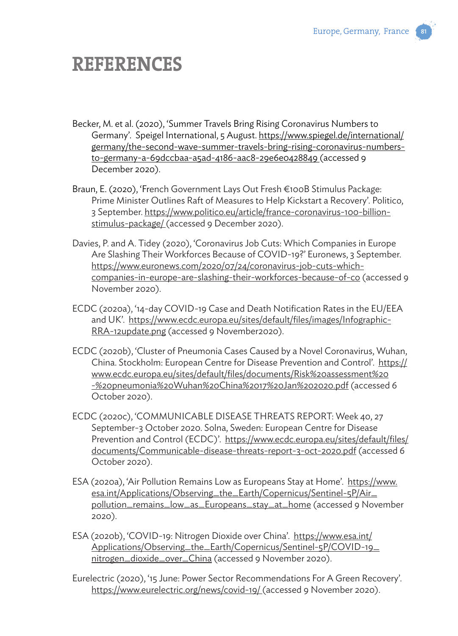# **REFERENCES**

- Becker, M. et al. (2020), 'Summer Travels Bring Rising Coronavirus Numbers to Germany'. Speigel International, 5 August. https://www.spiegel.de/international/ germany/the-second-wave-summer-travels-bring-rising-coronavirus-numbersto-germany-a-69dccbaa-a5ad-4186-aac8-29e6e0428849 (accessed 9 December 2020).
- Braun, E. (2020), 'French Government Lays Out Fresh €100B Stimulus Package: Prime Minister Outlines Raft of Measures to Help Kickstart a Recovery'. Politico, 3 September. https://www.politico.eu/article/france-coronavirus-100-billionstimulus-package/ (accessed 9 December 2020).
- Davies, P. and A. Tidey (2020), 'Coronavirus Job Cuts: Which Companies in Europe Are Slashing Their Workforces Because of COVID-19?' Euronews, 3 September. https://www.euronews.com/2020/07/24/coronavirus-job-cuts-whichcompanies-in-europe-are-slashing-their-workforces-because-of-co (accessed 9 November 2020).
- ECDC (2020a), '14-day COVID-19 Case and Death Notification Rates in the EU/EEA and UK'. https://www.ecdc.europa.eu/sites/default/files/images/Infographic-RRA-12update.png (accessed 9 November2020).
- ECDC (2020b), 'Cluster of Pneumonia Cases Caused by a Novel Coronavirus, Wuhan, China. Stockholm: European Centre for Disease Prevention and Control'. https:// www.ecdc.europa.eu/sites/default/files/documents/Risk%20assessment%20 -%20pneumonia%20Wuhan%20China%2017%20Jan%202020.pdf (accessed 6 October 2020).
- ECDC (2020c), 'COMMUNICABLE DISEASE THREATS REPORT: Week 40, 27 September-3 October 2020. Solna, Sweden: European Centre for Disease Prevention and Control (ECDC)'. https://www.ecdc.europa.eu/sites/default/files/ documents/Communicable-disease-threats-report-3-oct-2020.pdf (accessed 6 October 2020).
- ESA (2020a), 'Air Pollution Remains Low as Europeans Stay at Home'. https://www. esa.int/Applications/Observing\_the\_Earth/Copernicus/Sentinel-5P/Air\_ pollution\_remains\_low\_as\_Europeans\_stay\_at\_home (accessed 9 November 2020).
- ESA (2020b), 'COVID-19: Nitrogen Dioxide over China'. https://www.esa.int/ Applications/Observing\_the\_Earth/Copernicus/Sentinel-5P/COVID-19\_ nitrogen\_dioxide\_over\_China (accessed 9 November 2020).
- Eurelectric (2020), '15 June: Power Sector Recommendations For A Green Recovery'. https://www.eurelectric.org/news/covid-19/ (accessed 9 November 2020).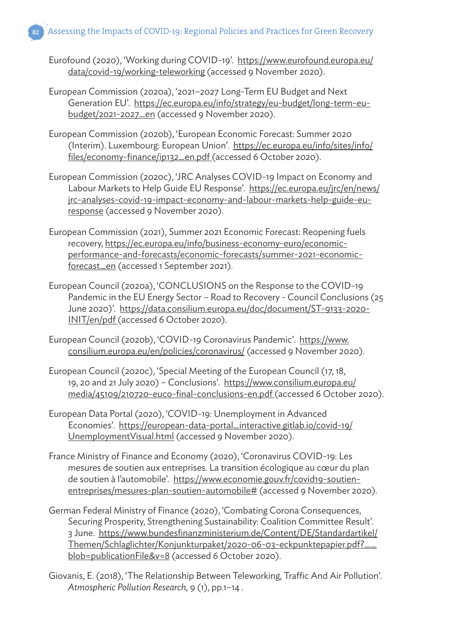- Eurofound (2020), 'Working during COVID-19'. https://www.eurofound.europa.eu/ data/covid-19/working-teleworking (accessed 9 November 2020).
- European Commission (2020a), '2021–2027 Long-Term EU Budget and Next Generation EU'. https://ec.europa.eu/info/strategy/eu-budget/long-term-eubudget/2021-2027\_en (accessed 9 November 2020).
- European Commission (2020b), 'European Economic Forecast: Summer 2020 (Interim). Luxembourg: European Union'. https://ec.europa.eu/info/sites/info/ files/economy-finance/ip132\_en.pdf (accessed 6 October 2020).
- European Commission (2020c), 'JRC Analyses COVID-19 Impact on Economy and Labour Markets to Help Guide EU Response'. https://ec.europa.eu/jrc/en/news/ jrc-analyses-covid-19-impact-economy-and-labour-markets-help-guide-euresponse (accessed 9 November 2020).
- European Commission (2021), Summer 2021 Economic Forecast: Reopening fuels recovery, https://ec.europa.eu/info/business-economy-euro/economicperformance-and-forecasts/economic-forecasts/summer-2021-economicforecast\_en (accessed 1 September 2021).
- European Council (2020a), 'CONCLUSIONS on the Response to the COVID-19 Pandemic in the EU Energy Sector – Road to Recovery - Council Conclusions (25 June 2020)'. https://data.consilium.europa.eu/doc/document/ST-9133-2020- INIT/en/pdf (accessed 6 October 2020).
- European Council (2020b), 'COVID-19 Coronavirus Pandemic'. https://www. consilium.europa.eu/en/policies/coronavirus/ (accessed 9 November 2020).
- European Council (2020c), 'Special Meeting of the European Council (17, 18, 19, 20 and 21 July 2020) – Conclusions'. https://www.consilium.europa.eu/ media/45109/210720-euco-final-conclusions-en.pdf (accessed 6 October 2020).
- European Data Portal (2020), 'COVID-19: Unemployment in Advanced Economies'. https://european-data-portal\_interactive.gitlab.io/covid-19/ UnemploymentVisual.html (accessed 9 November 2020).
- France Ministry of Finance and Economy (2020), 'Coronavirus COVID-19: Les mesures de soutien aux entreprises. La transition écologique au cœur du plan de soutien à l'automobile'. https://www.economie.gouv.fr/covid19-soutienentreprises/mesures-plan-soutien-automobile# (accessed 9 November 2020).
- German Federal Ministry of Finance (2020), 'Combating Corona Consequences, Securing Prosperity, Strengthening Sustainability: Coalition Committee Result'. 3 June. https://www.bundesfinanzministerium.de/Content/DE/Standardartikel/ Themen/Schlaglichter/Konjunkturpaket/2020-06-03-eckpunktepapier.pdf?\_\_ blob=publicationFile&v=8 (accessed 6 October 2020).
- Giovanis, E. (2018), 'The Relationship Between Teleworking, Traffic And Air Pollution'. *Atmospheric Pollution Research,* 9 (1), pp.1–14 .